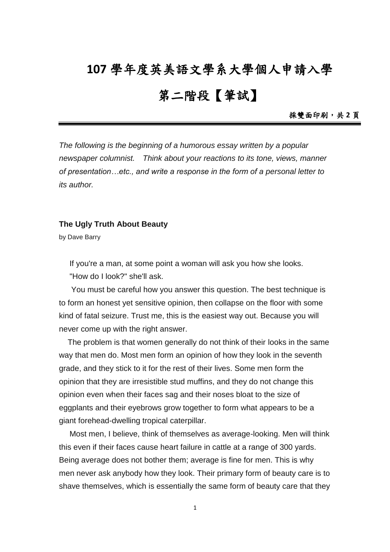## **107** 學年度英美語文學系大學個人申請入學

## 第二階段【筆試】

採雙面印刷,共 **2** 頁

*The following is the beginning of a humorous essay written by a popular newspaper columnist. Think about your reactions to its tone, views, manner of presentation…etc., and write a response in the form of a personal letter to its author.*

## **The Ugly Truth About Beauty**

by Dave Barry

If you're a man, at some point a woman will ask you how she looks.

"How do I look?" she'll ask.

You must be careful how you answer this question. The best technique is to form an honest yet sensitive opinion, then collapse on the floor with some kind of fatal seizure. Trust me, this is the easiest way out. Because you will never come up with the right answer.

The problem is that women generally do not think of their looks in the same way that men do. Most men form an opinion of how they look in the seventh grade, and they stick to it for the rest of their lives. Some men form the opinion that they are irresistible stud muffins, and they do not change this opinion even when their faces sag and their noses bloat to the size of eggplants and their eyebrows grow together to form what appears to be a giant forehead-dwelling tropical caterpillar.

Most men, I believe, think of themselves as average-looking. Men will think this even if their faces cause heart failure in cattle at a range of 300 yards. Being average does not bother them; average is fine for men. This is why men never ask anybody how they look. Their primary form of beauty care is to shave themselves, which is essentially the same form of beauty care that they

1